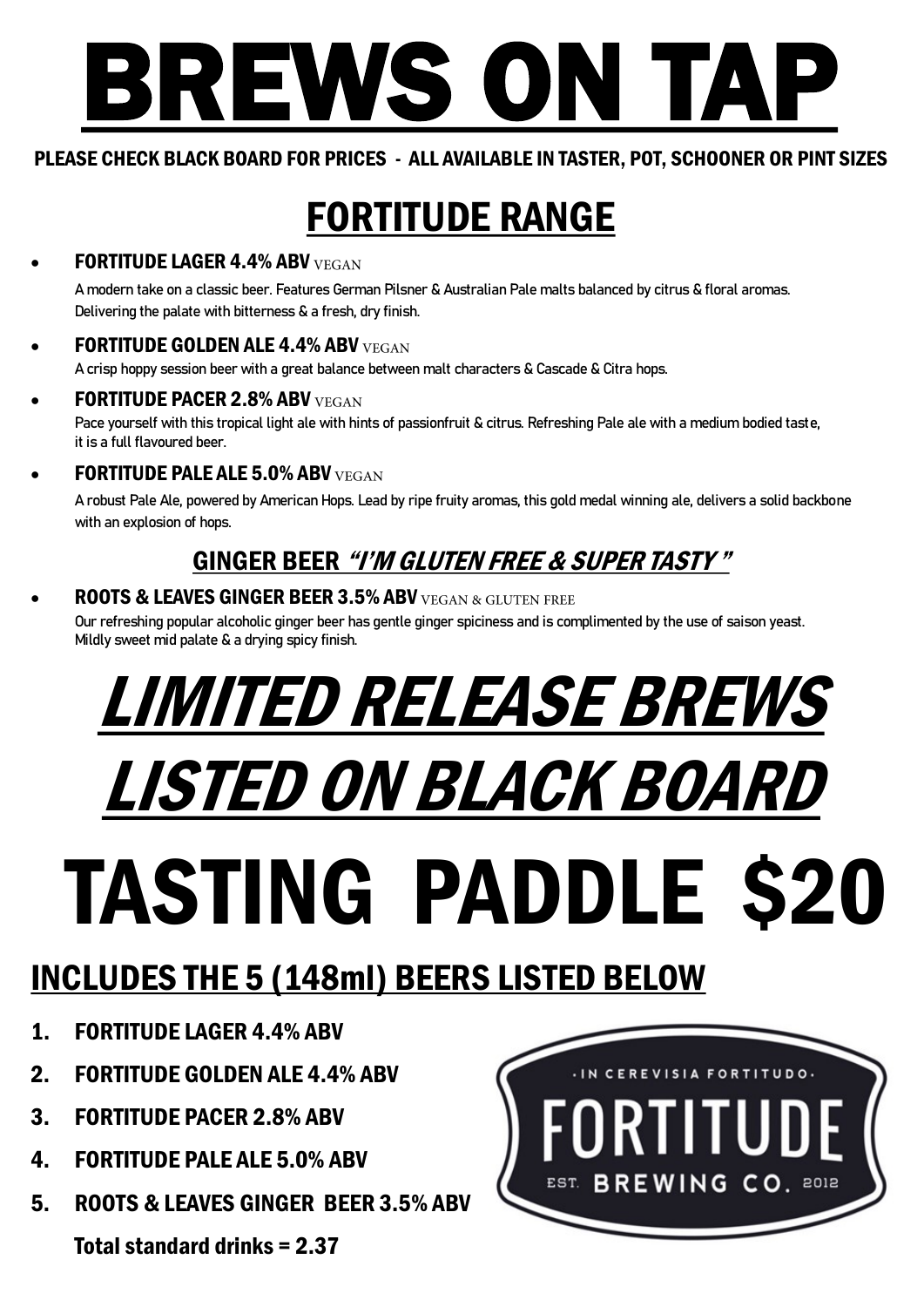# BREWS ON TAP

#### PLEASE CHECK BLACK BOARD FOR PRICES - ALL AVAILABLE IN TASTER, POT, SCHOONER OR PINT SIZES

## FORTITUDE RANGE

#### FORTITUDE LAGER 4.4% ABV VEGAN

A modern take on a classic beer. Features German Pilsner & Australian Pale malts balanced by citrus & floral aromas. Delivering the palate with bitterness & a fresh, dry finish.

#### **FORTITUDE GOLDEN ALE 4.4% ABV VEGAN**

A crisp hoppy session beer with a great balance between malt characters & Cascade & Citra hops.

- FORTITUDE PACER 2.8% ABV VEGAN Pace yourself with this tropical light ale with hints of passionfruit & citrus. Refreshing Pale ale with a medium bodied taste, it is a full flavoured beer.
- FORTITUDE PALE ALE 5.0% ABV VEGAN

A robust Pale Ale, powered by American Hops. Lead by ripe fruity aromas, this gold medal winning ale, delivers a solid backbone with an explosion of hops.

### GINGER BEER "I'M GLUTEN FREE & SUPER TASTY "

#### **ROOTS & LEAVES GINGER BEER 3.5% ABV VEGAN & GLUTEN FREE**

Our refreshing popular alcoholic ginger beer has gentle ginger spiciness and is complimented by the use of saison yeast. Mildly sweet mid palate & a drying spicy finish.

## LIMITED RELEASE BREWS LISTED ON BLACK BOARD TASTING PADDLE \$20

## INCLUDES THE 5 (148ml) BEERS LISTED BELOW

- 1. FORTITUDE LAGER 4.4% ABV
- 2. FORTITUDE GOLDEN ALE 4.4% ABV
- 3. FORTITUDE PACER 2.8% ABV
- 4. FORTITUDE PALE ALE 5.0% ABV
- 5. ROOTS & LEAVES GINGER BEER 3.5% ABV

Total standard drinks = 2.37